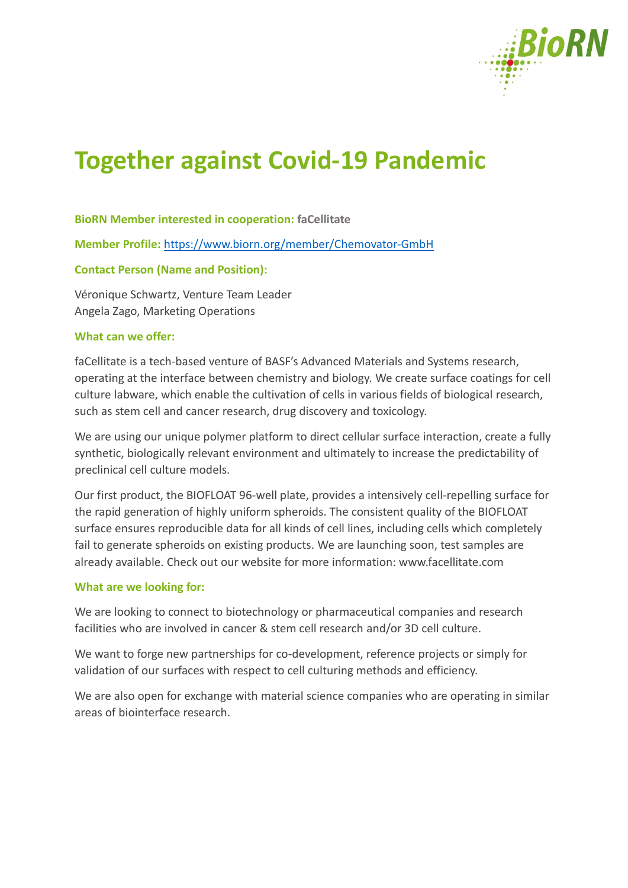

# **Together against Covid-19 Pandemic**

## **BioRN Member interested in cooperation: faCellitate**

**Member Profile:** <https://www.biorn.org/member/Chemovator-GmbH>

# **Contact Person (Name and Position):**

Véronique Schwartz, Venture Team Leader Angela Zago, Marketing Operations

# **What can we offer:**

faCellitate is a tech-based venture of BASF's Advanced Materials and Systems research, operating at the interface between chemistry and biology. We create surface coatings for cell culture labware, which enable the cultivation of cells in various fields of biological research, such as stem cell and cancer research, drug discovery and toxicology.

We are using our unique polymer platform to direct cellular surface interaction, create a fully synthetic, biologically relevant environment and ultimately to increase the predictability of preclinical cell culture models.

Our first product, the BIOFLOAT 96-well plate, provides a intensively cell-repelling surface for the rapid generation of highly uniform spheroids. The consistent quality of the BIOFLOAT surface ensures reproducible data for all kinds of cell lines, including cells which completely fail to generate spheroids on existing products. We are launching soon, test samples are already available. Check out our website for more information: www.facellitate.com

#### **What are we looking for:**

We are looking to connect to biotechnology or pharmaceutical companies and research facilities who are involved in cancer & stem cell research and/or 3D cell culture.

We want to forge new partnerships for co-development, reference projects or simply for validation of our surfaces with respect to cell culturing methods and efficiency.

We are also open for exchange with material science companies who are operating in similar areas of biointerface research.